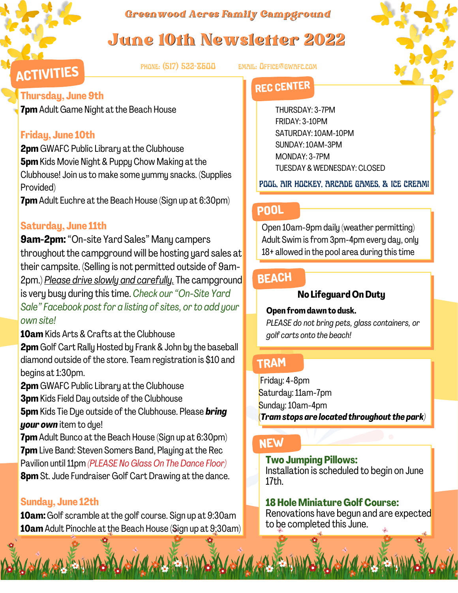*Greenwood Acres Family Campground*

# June 10th Newsletter 2022

phone: (517) 522-8600 email: Office@gwafc.com

## **ACTIVITIES Thursday, June 9th**

**7pm** Adult Game Night at the Beach House

## **Friday, June 10th**

**2pm** GWAFC Public Library at the Clubhouse **5pm**Kids Movie Night & Puppy Chow Making at the Clubhouse! Join us to make some yummy snacks. (Supplies Provided)

**7pm**Adult Euchre at the Beach House (Sign up at 6:30pm)

## **Saturday, June 11th**

**9am-2pm:**"On-site Yard Sales" Many campers throughout the campground will be hosting yard sales at their campsite. (Selling is not permitted outside of 9am-2pm.) *Please drive slowly and carefully.* The campground is very busy during this time. *Check our"On-Site Yard Sale"* Facebook post for a listing of sites, or to add your *own site!*

**10am** Kids Arts & Crafts at the Clubhouse

**2pm** Golf Cart Rally Hosted by Frank & John by the baseball diamond outside of the store. Team registration is \$10 and begins at 1:30pm.

**2pm** GWAFC Public Library at the Clubhouse

**3pm** Kids Field Day outside of the Clubhouse

**5pm** Kids Tie Dye outside of the Clubhouse. Please **bring** *your own* item to dye!

**7pm** Adult Bunco at the Beach House (Sign up at 6:30pm) **7pm** Live Band: Steven Somers Band, Playing at the Rec Pavilion until11pm *(PLEASE No Glass On The Dance Floor)* **8pm** St.Jude Fundraiser Golf Cart Drawing at the dance.

## **Sunday, June 12th**

**10am:**Golf scramble at the golf course. Sign up at 9:30am **10am**Adult Pinochle at the Beach House (Sign up at 9:30am)

## **REC CENTER**

THURSDAY: 3-7PM FRIDAY: 3-10PM SATURDAY:10AM-10PM SUNDAY:10AM-3PM MONDAY: 3-7PM TUESDAY & WEDNESDAY: CLOSED

POOL, AIR HOCKEY, ARCADE GAMES, & ICE CREAM!

## **POOL**

Open 10am-9pm daily (weather permitting) Adult Swim is from 3pm-4pm every day, only 18+ allowed in the pool area during this time

## **BEACH**

#### **No Lifeguard OnDuty**

#### **Open fromdawn to dusk.**

*PLEASE do not bring pets, glass containers, or golf carts onto the beach!*

## **TRAM**

Friday: 4-8pm Saturday: 11am-7pm Sunday:10am-4pm (*Tramstops are located throughout the park)*

## **NEW**

**Two Jumping Pillows:**

Installation is scheduled to begin on June 17th.

## **18Hole Miniature GolfCourse:**

Renovations have begun and are expected to be completed this June.